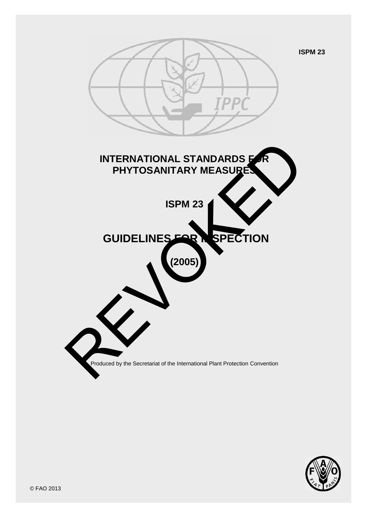**ISPM 23**



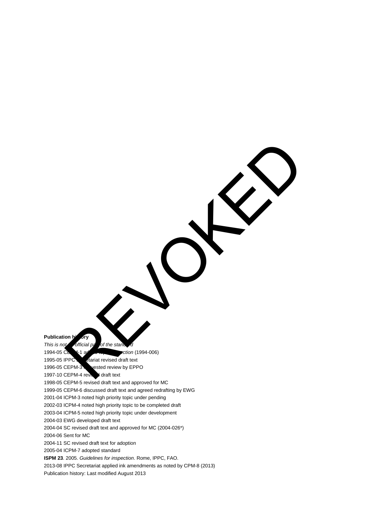**Publication h** 

*This is not an official part of the standard* REVOKED CONTROLLED

1994-05 CEPM-1 added topic *Inspection* (1994-006)

1995-05 IPPC stariat revised draft text 1996-05 CEPM-3 vested review by EPPO

1997-10 CEPM-4 review draft text

1998-05 CEPM-5 revised draft text and approved for MC

1999-05 CEPM-6 discussed draft text and agreed redrafting by EWG

2001-04 ICPM-3 noted high priority topic under pending

2002-03 ICPM-4 noted high priority topic to be completed draft

2003-04 ICPM-5 noted high priority topic under development

2004-03 EWG developed draft text

2004-04 SC revised draft text and approved for MC (2004-026\*)

2004-06 Sent for MC

2004-11 SC revised draft text for adoption

2005-04 ICPM-7 adopted standard

**ISPM 23**. 2005. *Guidelines for inspection*. Rome, IPPC, FAO.

2013-08 IPPC Secretariat applied ink amendments as noted by CPM-8 (2013)

Publication history: Last modified August 2013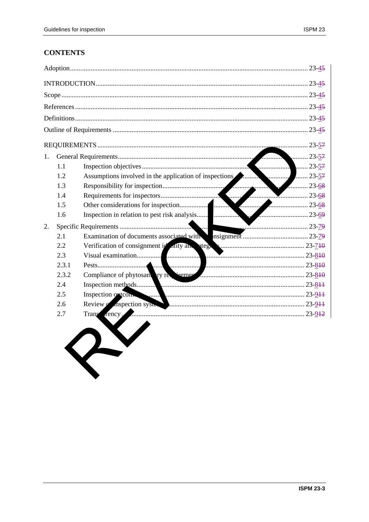# **CONTENTS**

| 1. |       |                                                                                                                                                                                                                                | $\ldots$ 23-57 |
|----|-------|--------------------------------------------------------------------------------------------------------------------------------------------------------------------------------------------------------------------------------|----------------|
|    | 1.1   |                                                                                                                                                                                                                                |                |
|    | 1.2   | Assumptions involved in the application of inspections <b>All and School</b> and 23-57                                                                                                                                         |                |
|    | 1.3   |                                                                                                                                                                                                                                | $\ldots$ 23-68 |
|    | 1.4   |                                                                                                                                                                                                                                |                |
|    | 1.5   |                                                                                                                                                                                                                                |                |
|    | 1.6   |                                                                                                                                                                                                                                |                |
| 2. |       |                                                                                                                                                                                                                                |                |
|    |       |                                                                                                                                                                                                                                |                |
|    | 2.2   |                                                                                                                                                                                                                                |                |
|    | 2.3   |                                                                                                                                                                                                                                |                |
|    | 2.3.1 |                                                                                                                                                                                                                                |                |
|    | 2.3.2 | Compliance of phytosan ry restrement communications and the 23-810                                                                                                                                                             |                |
|    | 2.4   |                                                                                                                                                                                                                                |                |
|    | 2.5   | Inspection orteon.                                                                                                                                                                                                             |                |
|    | 2.6   | Review Conspection system According Construction Construction Construction Construction Construction Construction Construction Construction Construction Construction Construction Construction Construction Construction Cons |                |
|    | 2.7   | Trans rency.<br>23-9 <del>12</del>                                                                                                                                                                                             |                |
|    |       |                                                                                                                                                                                                                                |                |
|    |       |                                                                                                                                                                                                                                |                |
|    |       |                                                                                                                                                                                                                                |                |
|    |       |                                                                                                                                                                                                                                |                |
|    |       |                                                                                                                                                                                                                                |                |
|    |       |                                                                                                                                                                                                                                |                |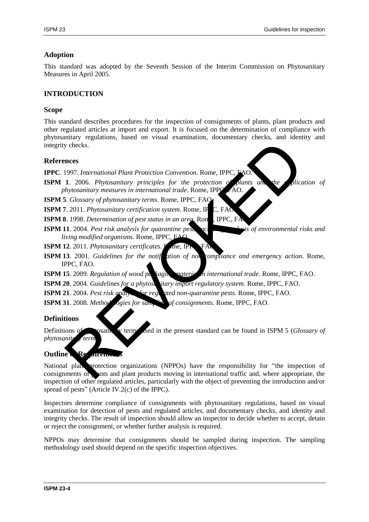### **Adoption**

This standard was adopted by the Seventh Session of the Interim Commission on Phytosanitary Measures in April 2005.

### **INTRODUCTION**

#### **Scope**

This standard describes procedures for the inspection of consignments of plants, plant products and other regulated articles at import and export. It is focused on the determination of compliance with phytosanitary regulations, based on visual examination, documentary checks, and identity and integrity checks.

#### **References**

**IPPC**. 1997. *International Plant Protection Convention*. Rome, IPPC,

**ISPM 1.** 2006. *Phytosanitary principles for the protection of plants and the plication of phytosanitary measures in international trade*. Rome, IPPC, FAO.

**ISPM 5**. *Glossary of phytosanitary terms*. Rome, IPPC, FAO.

**ISPM 7**. 2011. *Phytosanitary certification system*. Rome, IP

**ISPM 8**. 1998. *Determination of pest status in an area*. Rom., IPPC, FA

**ISPM 11**. 2004. *Pest risk analysis for quarantine pests including and legis of environmental risks and living modified organisms*. Rome, IPPC, FAO.

**ISPM 12.** 2011. *Phytosanitary certificates*. **P**<sub>me, IP</sub>

**ISPM 13**. 2001. *Guidelines for the notif* ation of non-compliance and emergency action. Rome, IPPC, FAO.

**ISPM 15**. 2009. *Regulation of wood packaging material in international trade*. Rome, IPPC, FAO.

**ISPM 20**. 2004. *Guidelines for a phytosanitary import regulatory system*. Rome, IPPC, FAO.

**ISPM 21**. 2004. *Pest risk analysis for regulated non-quarantine pests*. Rome, IPPC, FAO.

**ISPM 31**. 2008. *Methodologies for sampling of consignments.* Rome, IPPC, FAO.

#### **Definitions**

Definitions of phytosanity terms used in the present standard can be found in ISPM 5 (*Glossary of phytosanite* term

### **Outline Re**

National plant protection organizations (NPPOs) have the responsibility for "the inspection of consignments of plants and plant products moving in international traffic and, where appropriate, the inspection of other regulated articles, particularly with the object of preventing the introduction and/or spread of pests" (Article IV.2(c) of the IPPC). All 2006. Phytosanitary principles for the protection Convention. Rome, IPPC, FAO.<br>
1. 2006. Phytosanitary principles for the protection of plants and the histography measures in international trade. Rome, IPPC, FAO.<br>
7. G

Inspectors determine compliance of consignments with phytosanitary regulations, based on visual examination for detection of pests and regulated articles, and documentary checks, and identity and integrity checks. The result of inspection should allow an inspector to decide whether to accept, detain or reject the consignment, or whether further analysis is required.

NPPOs may determine that consignments should be sampled during inspection. The sampling methodology used should depend on the specific inspection objectives.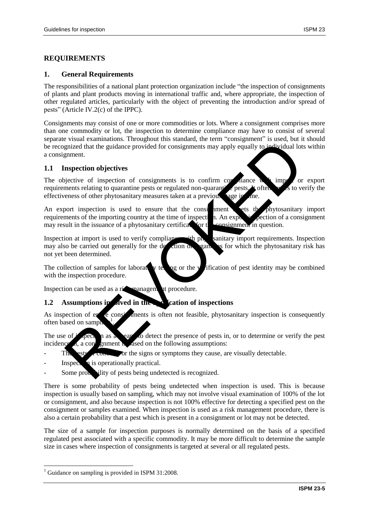# **REQUIREMENTS**

#### **1. General Requirements**

The responsibilities of a national plant protection organization include "the inspection of consignments of plants and plant products moving in international traffic and, where appropriate, the inspection of other regulated articles, particularly with the object of preventing the introduction and/or spread of pests" (Article IV.2(c) of the IPPC).

Consignments may consist of one or more commodities or lots. Where a consignment comprises more than one commodity or lot, the inspection to determine compliance may have to consist of several separate visual examinations. Throughout this standard, the term "consignment" is used, but it should be recognized that the guidance provided for consignments may apply equally to individual lots within a consignment.

### **1.1 Inspection objectives**

The objective of inspection of consignments is to confirm compliance with important or export requirements relating to quarantine pests or regulated non-quaranting pests. It often set of verify the effectiveness of other phytosanitary measures taken at a previous tage in the A strategy of the constrained and constrained and constrained that the guidance provided for consignments may apply equally to individual lot<br>emerit.<br>
Inspection objectives of inspection of consignments is to confirm compl

An export inspection is used to ensure that the considerment were the phytosanitary import requirements of the importing country at the time of inspection. An export is pection of a consignment may result in the issuance of a phytosanitary certification. For the consignment in question.

Inspection at import is used to verify compliance with phytosanitary import requirements. Inspection may also be carried out generally for the detection of straining for which the phytosanitary risk has not yet been determined.

The collection of samples for laboratory testing or the verification of pest identity may be combined with the inspection procedure.

Inspection can be used as a risk management procedure.

## **1.2** Assumptions in silved in the action of inspections

As inspection of  $er \to \infty$  ments is often not feasible, phytosanitary inspection is consequently often based on sampl .

The use of  $i$  spection as a mean solution detect the presence of pests in, or to determine or verify the pest incidence  $\vec{a}$ , a consignment is a search in the following assumptions:

- The ests runned for the signs or symptoms they cause, are visually detectable.
- Inspection is operationally practical.
- Some probability of pests being undetected is recognized.

There is some probability of pests being undetected when inspection is used. This is because inspection is usually based on sampling, which may not involve visual examination of 100% of the lot or consignment, and also because inspection is not 100% effective for detecting a specified pest on the consignment or samples examined. When inspection is used as a risk management procedure, there is also a certain probability that a pest which is present in a consignment or lot may not be detected.

The size of a sample for inspection purposes is normally determined on the basis of a specified regulated pest associated with a specific commodity. It may be more difficult to determine the sample size in cases where inspection of consignments is targeted at several or all regulated pests.

 $\overline{a}$ 

<sup>1</sup> Guidance on sampling is provided in ISPM 31:2008.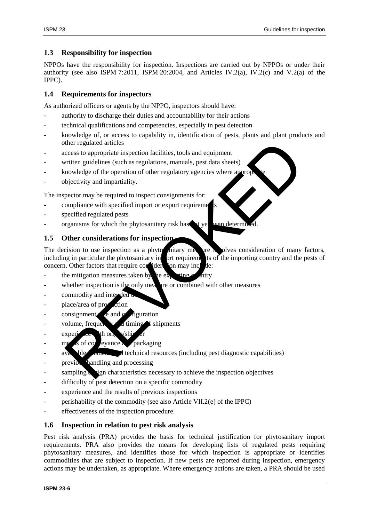### **1.3 Responsibility for inspection**

NPPOs have the responsibility for inspection. Inspections are carried out by NPPOs or under their authority (see also ISPM 7:2011, ISPM 20:2004, and Articles IV.2(a), IV.2(c) and V.2(a) of the IPPC).

### **1.4 Requirements for inspectors**

As authorized officers or agents by the NPPO, inspectors should have:

- authority to discharge their duties and accountability for their actions
- technical qualifications and competencies, especially in pest detection
- knowledge of, or access to capability in, identification of pests, plants and plant products and other regulated articles
- access to appropriate inspection facilities, tools and equipment
- written guidelines (such as regulations, manuals, pest data sheets)
- knowledge of the operation of other regulatory agencies where appropriately
- objectivity and impartiality.

The inspector may be required to inspect consignments for:

- compliance with specified import or export requirements
- specified regulated pests
- organisms for which the phytosanitary risk has not yet been determined.

### **1.5 Other considerations for inspection**

The decision to use inspection as a phytosanitary measure in plyes consideration of many factors, including in particular the phytosanitary import requirements of the importing country and the pests of concern. Other factors that require consideration may include: ther regulated articles<br>
cross to appropriate inspection facilities, tools and equipment<br>
criten guidelines (such as regulations, manuals, pest data sheets)<br>
mowledge of the operation of other regulatory agencies where app

- the mitigation measures taken by the exporting country
- whether inspection is the only measure or combined with other measures
- commodity and intended
- place/area of production
- $\cos$  consignment  $\cos$  and  $\cos$  diguration
- volume, frequency and timing  $\bullet$  shipments
- $\epsilon$  experience with original viship
- meas of conveyance and packaging
- $\alpha$  available  $\alpha$   $\alpha$  dechnical resources (including pest diagnostic capabilities)
- previous handling and processing
- sampling design characteristics necessary to achieve the inspection objectives
- difficulty of pest detection on a specific commodity
- experience and the results of previous inspections
- perishability of the commodity (see also Article VII.2(e) of the IPPC)
- effectiveness of the inspection procedure.

### **1.6 Inspection in relation to pest risk analysis**

Pest risk analysis (PRA) provides the basis for technical justification for phytosanitary import requirements. PRA also provides the means for developing lists of regulated pests requiring phytosanitary measures, and identifies those for which inspection is appropriate or identifies commodities that are subject to inspection. If new pests are reported during inspection, emergency actions may be undertaken, as appropriate. Where emergency actions are taken, a PRA should be used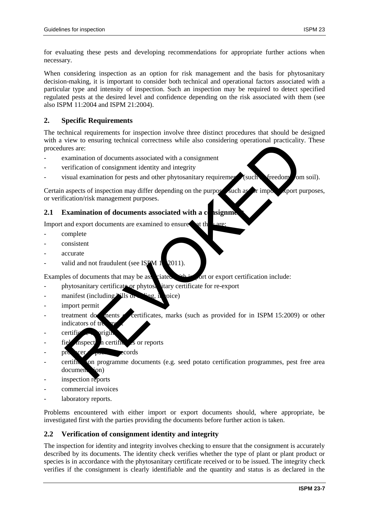for evaluating these pests and developing recommendations for appropriate further actions when necessary.

When considering inspection as an option for risk management and the basis for phytosanitary decision-making, it is important to consider both technical and operational factors associated with a particular type and intensity of inspection. Such an inspection may be required to detect specified regulated pests at the desired level and confidence depending on the risk associated with them (see also ISPM 11:2004 and ISPM 21:2004).

#### **2. Specific Requirements**

The technical requirements for inspection involve three distinct procedures that should be designed with a view to ensuring technical correctness while also considering operational practicality. These procedures are:

- examination of documents associated with a consignment
- verification of consignment identity and integrity
- $v$ isual examination for pests and other phytosanitary requirements (such as freedom from soil).

Certain aspects of inspection may differ depending on the purpose such as  $\sigma$  import purposes, or verification/risk management purposes.

#### **2.1 Examination of documents associated with a consignment**

Import and export documents are examined to ensure that the  $\frac{1}{4}$  are:

- complete
- consistent
- accurate
- valid and not fraudulent (see ISPM  $1\,$  2011).

Examples of documents that may be associated with import or export certification include:

- phytosanitary certificate or phytosanitary certificate for re-export
- manifest (including  $\frac{1}{2}$ ills on  $\frac{1}{2}$  rag, invoice)
- import permit
- treatment documents or certificates, marks (such as provided for in ISPM 15:2009) or other indicators of tr We to ensuring teeminear correctness while also considering operational practicality<br>the measure are:<br>
the stamination of documents associated with a consignment<br>
terrification of consignment identity and integrity<br>
sixual
- $c$  certification origin
- $\text{fie}$  inspect in certification is or reports
- producer packing records
- certification programme documents (e.g. seed potato certification programmes, pest free area document<sub>ion</sub>)
- inspection reports
- commercial invoices
- laboratory reports.

Problems encountered with either import or export documents should, where appropriate, be investigated first with the parties providing the documents before further action is taken.

### **2.2 Verification of consignment identity and integrity**

The inspection for identity and integrity involves checking to ensure that the consignment is accurately described by its documents. The identity check verifies whether the type of plant or plant product or species is in accordance with the phytosanitary certificate received or to be issued. The integrity check verifies if the consignment is clearly identifiable and the quantity and status is as declared in the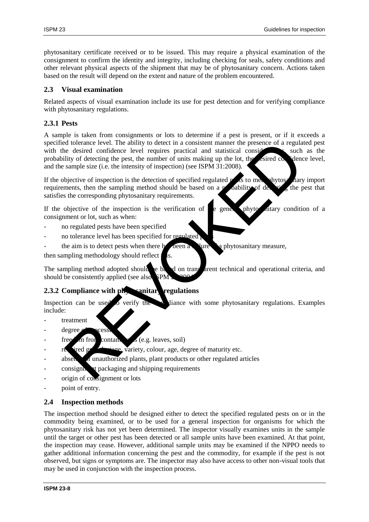phytosanitary certificate received or to be issued. This may require a physical examination of the consignment to confirm the identity and integrity, including checking for seals, safety conditions and other relevant physical aspects of the shipment that may be of phytosanitary concern. Actions taken based on the result will depend on the extent and nature of the problem encountered.

### **2.3 Visual examination**

Related aspects of visual examination include its use for pest detection and for verifying compliance with phytosanitary regulations.

# **2.3.1 Pests**

A sample is taken from consignments or lots to determine if a pest is present, or if it exceeds a specified tolerance level. The ability to detect in a consistent manner the presence of a regulated pest with the desired confidence level requires practical and statistical considerations, such as the probability of detecting the pest, the number of units making up the lot, the estimated confidence level, and the sample size (i.e. the intensity of inspection) (see ISPM 31:2008). d colerance level. The ability to detect in a consistent manner the presence of a regular<br>districted confidence level requires practical and statistical consideration<br>distributed detecting the pest, the number of units mak

If the objective of inspection is the detection of specified regulated  $p$  as to meet phytosalitary import requirements, then the sampling method should be based on a probability of detection the pest that satisfies the corresponding phytosanitary requirements.

If the objective of the inspection is the verification of  $\epsilon$  general phytos ditary condition of a consignment or lot, such as when:

- no regulated pests have been specified
- no tolerance level has been specified for regulated
- the aim is to detect pests when there has been a structure of a phytosanitary measure,

then sampling methodology should reflect

The sampling method adopted should be based on transparent technical and operational criteria, and should be consistently applied (see also **SPM** 

## **2.3.2 Compliance with physicanitary regulations**

Inspection can be used to verify the compliance with some phytosanitary regulations. Examples include:

- treatment
- degree
- freedom from contaminants (e.g. leaves, soil)
- $r_{\rm e}$  ired gr<sub>owth</sub> stage, variety, colour, age, degree of maturity etc.
- absence of unauthorized plants, plant products or other regulated articles
- consignments to packaging and shipping requirements
- origin of consignment or lots
- point of entry.

### **2.4 Inspection methods**

The inspection method should be designed either to detect the specified regulated pests on or in the commodity being examined, or to be used for a general inspection for organisms for which the phytosanitary risk has not yet been determined. The inspector visually examines units in the sample until the target or other pest has been detected or all sample units have been examined. At that point, the inspection may cease. However, additional sample units may be examined if the NPPO needs to gather additional information concerning the pest and the commodity, for example if the pest is not observed, but signs or symptoms are. The inspector may also have access to other non-visual tools that may be used in conjunction with the inspection process.